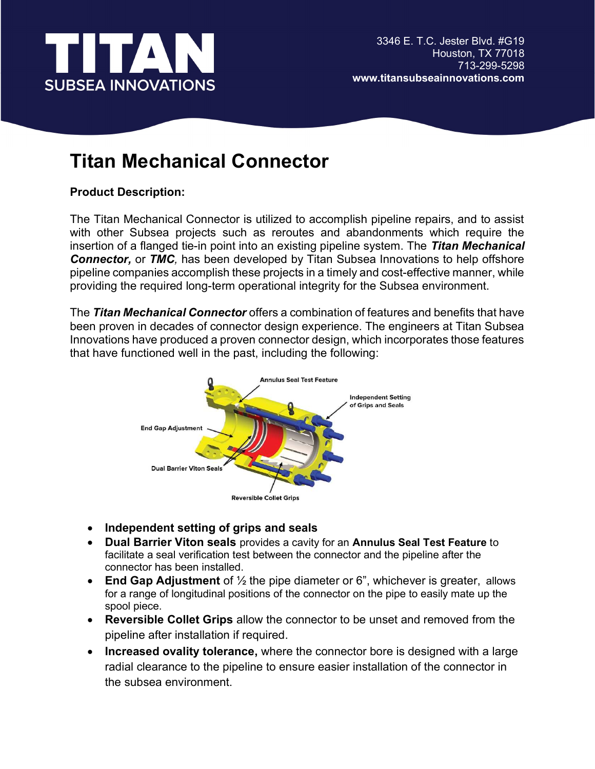

## Titan Mechanical Connector

## Product Description:

The Titan Mechanical Connector is utilized to accomplish pipeline repairs, and to assist with other Subsea projects such as reroutes and abandonments which require the insertion of a flanged tie-in point into an existing pipeline system. The Titan Mechanical **Connector, or TMC**, has been developed by Titan Subsea Innovations to help offshore pipeline companies accomplish these projects in a timely and cost-effective manner, while providing the required long-term operational integrity for the Subsea environment.

The Titan Mechanical Connector offers a combination of features and benefits that have been proven in decades of connector design experience. The engineers at Titan Subsea Innovations have produced a proven connector design, which incorporates those features that have functioned well in the past, including the following:



- Independent setting of grips and seals
- Dual Barrier Viton seals provides a cavity for an Annulus Seal Test Feature to facilitate a seal verification test between the connector and the pipeline after the connector has been installed.
- **End Gap Adjustment** of  $\frac{1}{2}$  the pipe diameter or 6<sup>"</sup>, whichever is greater, allows for a range of longitudinal positions of the connector on the pipe to easily mate up the spool piece.
- Reversible Collet Grips allow the connector to be unset and removed from the pipeline after installation if required.
- Increased ovality tolerance, where the connector bore is designed with a large radial clearance to the pipeline to ensure easier installation of the connector in the subsea environment.